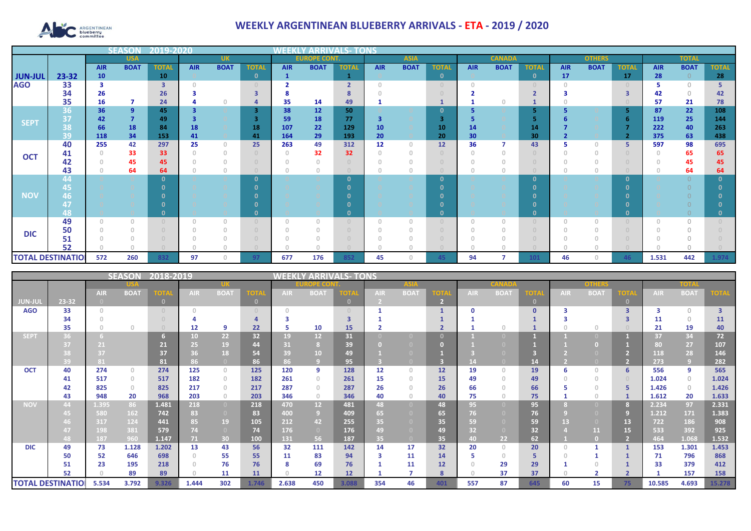

## **WEEKLY ARGENTINEAN BLUEBERRY ARRIVALS - ETA - 2019 / 2020**

|                          |           |            |                | 12019-20     |            |                |              |              |                     |                        |                 |             |              |            |               |                | <b>OTHERS</b> |             |              |            |              |              |  |  |  |  |  |  |  |  |
|--------------------------|-----------|------------|----------------|--------------|------------|----------------|--------------|--------------|---------------------|------------------------|-----------------|-------------|--------------|------------|---------------|----------------|---------------|-------------|--------------|------------|--------------|--------------|--|--|--|--|--|--|--|--|
|                          |           |            | <b>USA</b>     |              |            | <b>UK</b>      |              |              | <b>EUROPE CONT.</b> |                        |                 | <b>ASIA</b> |              |            | <b>CANADA</b> |                |               |             |              |            | <b>TOTAL</b> |              |  |  |  |  |  |  |  |  |
|                          |           | <b>AIR</b> | <b>BOAT</b>    | <b>TOTAL</b> | <b>AIR</b> | <b>BOAT</b>    | <b>TOTAL</b> | <b>AIR</b>   | <b>BOAT</b>         | <b>TOTAL</b>           | <b>AIR</b>      | <b>BOAT</b> | <b>TOTAL</b> | <b>AIR</b> | <b>BOAT</b>   | <b>TOTAL</b>   | <b>AIR</b>    | <b>BOAT</b> | <b>TOTAL</b> | <b>AIR</b> | <b>BOAT</b>  | <b>TOTAL</b> |  |  |  |  |  |  |  |  |
| <b>JUN-JUL</b>           | $23 - 32$ | 10         |                | 10           |            |                | $\mathbf{0}$ | $\mathbf{1}$ |                     |                        |                 |             | $\mathbf{0}$ |            |               | $\mathbf{0}$   | 17            |             | <b>17</b>    | 28         | $\Omega$     | 28           |  |  |  |  |  |  |  |  |
| <b>AGO</b>               | 33        | 3          |                | 3            |            |                |              |              |                     | $\mathbf{\mathcal{L}}$ |                 |             | $\cup$       |            |               |                |               |             |              |            | $\bigcap$    |              |  |  |  |  |  |  |  |  |
|                          | 34        | 26         |                | 26           |            |                |              |              |                     |                        |                 |             |              |            |               | $\overline{2}$ |               |             |              | 42         | $\bigcap$    | 42           |  |  |  |  |  |  |  |  |
|                          | 35        | 16         | 7              | 24           |            |                |              | 35           | 14                  | 49                     |                 |             |              |            |               |                |               |             |              | 57         | 21           | 78           |  |  |  |  |  |  |  |  |
|                          | 36        | 36         | 9              | 45           |            |                | 3            | 38           | 12                  | 50                     |                 |             | $\Omega$     |            |               | 5              |               |             |              | 87         | 22           | 108          |  |  |  |  |  |  |  |  |
| <b>SEPT</b>              | 37        | 42         | $\overline{7}$ | 49           |            |                |              | 59           | 18                  | 77                     | 3               |             | З            |            |               |                |               |             |              | 119        | 25           | 144          |  |  |  |  |  |  |  |  |
|                          | 38        | 66         | 18             | 84           | 18         |                | 18           | 107          | 22                  | 129                    | 10 <sup>°</sup> |             | 10           | 14         |               | 14             |               |             |              | 222        | 40           | 263          |  |  |  |  |  |  |  |  |
|                          | 39        | 118        | 34             | 153          | 41         |                | 41           | 164          | 29                  | 193                    | 20              |             | 20           | 30         |               | 30             |               |             |              | 375        | 63           | 438          |  |  |  |  |  |  |  |  |
| <b>OCT</b>               | 40        | 255        | 42             | 297          | 25         | $\Omega$       | 25           | 263          | 49                  | 312                    | 12              | $\cap$      | 12           | 36         |               | 43             |               | O           |              | 597        | 98           | 695          |  |  |  |  |  |  |  |  |
|                          | 41        |            | 33             | 33           |            | $\Omega$       |              | $\Omega$     | 32                  | 32                     | $\Omega$        |             |              |            |               |                |               |             |              |            | 65           | 65           |  |  |  |  |  |  |  |  |
|                          | 42        |            | 45             | 45           |            |                |              |              |                     |                        |                 |             |              |            |               |                |               |             |              |            | 45           | 45           |  |  |  |  |  |  |  |  |
|                          | 43<br>44  |            | 64             | 64           |            | $\overline{0}$ | n            |              |                     | $\Omega$               |                 |             | $\Omega$     |            |               | $\Omega$       |               |             |              |            | 64           | 64           |  |  |  |  |  |  |  |  |
|                          | 45        |            |                |              |            |                |              |              |                     |                        |                 |             |              |            |               | n              |               |             |              |            |              |              |  |  |  |  |  |  |  |  |
| <b>NOV</b>               | 46        |            |                |              |            |                |              |              |                     |                        |                 |             |              |            |               |                |               |             |              |            |              |              |  |  |  |  |  |  |  |  |
|                          | 47        |            |                |              |            |                |              |              |                     |                        |                 |             |              |            |               |                |               |             |              |            |              |              |  |  |  |  |  |  |  |  |
|                          | 48        |            |                |              |            |                |              |              |                     |                        |                 |             | n            |            |               | $\Omega$       |               |             |              |            |              |              |  |  |  |  |  |  |  |  |
|                          | 49        |            | $\Box$         |              |            | $\Omega$       |              | $\Omega$     |                     |                        | $\Box$          |             | $\cup$       |            |               |                |               |             |              |            | U            |              |  |  |  |  |  |  |  |  |
|                          | 50        |            |                |              |            |                |              |              |                     |                        |                 |             |              |            |               |                |               |             |              |            |              |              |  |  |  |  |  |  |  |  |
| <b>DIC</b>               | 51        |            |                |              |            |                |              |              |                     |                        |                 |             |              |            |               |                |               |             |              |            |              |              |  |  |  |  |  |  |  |  |
|                          | 52        |            |                |              |            |                |              |              |                     |                        |                 |             |              |            |               |                |               |             |              |            |              |              |  |  |  |  |  |  |  |  |
| <b>TOTAL DESTINATIOL</b> |           | 572        | 260            | 832          | 97         | $\Omega$       | 97           | 677          | 176                 | 852                    | 45              |             | 45           | 94         |               | 101            | 46            | O           | 46           | 1.531      | 442          | 1.974        |  |  |  |  |  |  |  |  |

| $ 2018 - 2019 $<br>SEASON |                          |            |                                  |                |            |                 |              |               | Y ARRIVALS- TONS |          |             |                                       |            |              |             |              |               |                |             |             |             |                         |
|---------------------------|--------------------------|------------|----------------------------------|----------------|------------|-----------------|--------------|---------------|------------------|----------|-------------|---------------------------------------|------------|--------------|-------------|--------------|---------------|----------------|-------------|-------------|-------------|-------------------------|
|                           |                          |            |                                  |                |            |                 |              | <b>OPE CO</b> |                  |          | <b>ASIA</b> |                                       |            | <b>CANAD</b> |             |              | <b>OTHERS</b> |                |             | <b>TOTA</b> |             |                         |
|                           |                          | <b>AIR</b> | <b>BOAT</b>                      | <b>TOTA</b>    | <b>AIR</b> | <b>BOAT</b>     | ОТ           | <b>AIR</b>    | <b>BOAT</b>      | 'OTA     | <b>AIR</b>  | <b>BOAT</b>                           | <b>TOT</b> | <b>AIR</b>   | <b>BOAT</b> | ΓΟΤΑ         | <b>AIR</b>    | <b>BOAT</b>    | <b>TOTA</b> | <b>AIR</b>  | <b>BOAT</b> |                         |
| <b>JUN-JUL</b>            | 23-32                    |            |                                  | $\overline{0}$ |            |                 | $\mathbf{0}$ |               |                  | $\Omega$ | -2.         |                                       |            |              |             | $\mathbf{0}$ |               |                |             |             |             |                         |
| <b>AGO</b>                | 33                       | $\bigcap$  |                                  |                |            |                 | $\Box$       | $\cap$        |                  |          |             |                                       |            |              |             | $\mathbf{0}$ |               |                | 3           |             | $\bigcirc$  | $\overline{\mathbf{3}}$ |
|                           | 34                       |            |                                  |                |            |                 |              |               |                  |          |             |                                       |            |              |             |              |               |                |             | 11          | $\Omega$    | 11                      |
|                           | 35                       |            | $\Box$                           |                | 12         | -9              | 22           | 5             | 10               | 15       |             |                                       |            |              |             |              |               | $\cap$         |             | 21          | 19          | 40                      |
| <b>SEPT</b>               | 36.                      |            |                                  |                | 10         | 22 <sub>2</sub> | 32           | 19            | 12               | 31       |             |                                       |            |              |             |              |               |                |             | 37          | 34          | 72                      |
|                           |                          | 21         |                                  | 21             | 25         | 19              | 44           | 31            |                  | 39       |             |                                       |            |              |             |              |               |                |             | 80          | 27          | 107                     |
|                           |                          | 37         |                                  | 37             | 36         | 18              | 54           | 39            | 10               | 49       |             |                                       |            |              |             |              |               |                |             | 118         | 28          | 146                     |
|                           | 39                       | 81         |                                  | 81             | 86         | $\overline{0}$  | 86           | 86            |                  | 95       |             |                                       |            |              |             | 14           |               |                |             | 273         | 9           | 282                     |
| <b>OCT</b>                | 40                       | 274        | $\circ$                          | 274            | 125        | $\circ$         | 125          | 120           | 9                | 128      | 12          | $\Omega$                              | 12         | 19           | $\Omega$    | 19           | 6             | $\Omega$       | 6           | 556         | 9           | 565                     |
|                           | 41                       | 517        | $\circ$                          | 517            | 182        | $\circ$         | 182          | 261           | $\circ$          | 261      | 15          | $\begin{array}{c} 0 \\ 0 \end{array}$ | 15         | 49           | $\Omega$    | 49           |               | $\Box$         |             | 1.024       | $\circ$     | 1.024                   |
|                           | 42                       | 825        | $\begin{array}{c} 0 \end{array}$ | 825            | 217        | $\circ$         | 217          | 287           | $\Omega$         | 287      | 26          |                                       | 26         | 66           |             | 66           |               | $\Box$         |             | 1.426       | $\circ$     | 1.426                   |
|                           | 43                       | 948        | 20                               | 968            | 203        | $\circ$         | 203          | 346           | $\circ$          | 346      | 40          | $\Box$                                | 40         | 75           |             | 75           |               | $\Box$         |             | 1.612       | 20          | 1.633                   |
| <b>NOV</b>                | 44                       | 1.395      | 86                               | 1.481          | 218        | $\overline{0}$  | 218          | 470           | 12 <sup>2</sup>  | 481      | 48          | $\Box$                                | 48         | 95           |             | 95           |               |                |             | 2.234       | 97          | 2.331                   |
|                           |                          | 580        | 162                              | 742            | 83         | $\overline{0}$  | 83           | 400           | -9.              | 409      | 65          |                                       | 65         | 76           |             | 76           |               |                | 9           | 1.212       | 171         | 1.383                   |
|                           |                          | 317        | 124                              | 441            | 85         | 19              | 105          | 212           | 42               | 255      | 35          |                                       | 35         | 59           |             | 59           | 13            |                | 13          | 722         | 186         | 908                     |
|                           |                          | 198        | 381                              | 579            | 74         | $\overline{0}$  | 74           | 176           | $\overline{0}$   | 176      | 49          |                                       | 49         | 32           |             | 32           |               | 11             | 15          | 533         | 392         | 925                     |
|                           | 48                       | 187        | 960                              | 1.147          | 71         | 30 <sub>1</sub> | 100          | 131           | 56               | 187      | 35          | $\Box$                                | 35         | 40.          | 22          | 62           |               |                |             | 464         | 1.068       | 1.532                   |
| <b>DIC</b>                | 49                       | 73         | 1.128                            | 1.202          | 13         | 43              | 56           | 32            | 111              | 142      | 14          | 17                                    | 32         | 20           | $\circ$     | 20           |               |                |             | 153         | 1.301       | 1.453                   |
|                           | 50                       | 52         | 646                              | 698            | 0.         | 55              | 55           | 11            | 83               | 94       | 3           | 11                                    | 14         |              | $\Omega$    | 5            |               |                |             | 71          | 796         | 868                     |
|                           | 51                       | 23         | 195                              | 218            |            | 76              | 76           | 8             | 69               | 76       |             | 11                                    | 12         |              | 29          | 29           |               |                |             | 33          | 379         | 412                     |
|                           | 52                       |            | 89                               | 89             |            | 11              | 11           | $\bigcap$     | 12 <sub>2</sub>  | 12       |             |                                       | 8          |              | 37          | 37           |               | $\overline{2}$ |             |             | 157         | 158                     |
|                           | <b>TOTAL DESTINATIOI</b> | 5.534      | 3.792                            | 9.326          | 1.444      | 302             | 1.746        | 2.638         | 450              | 3.088    | 354         | 46                                    | 401        | 557          | 87          | 645          | 60            | 15             | 75          | 10.585      | 4.693       | 15.278                  |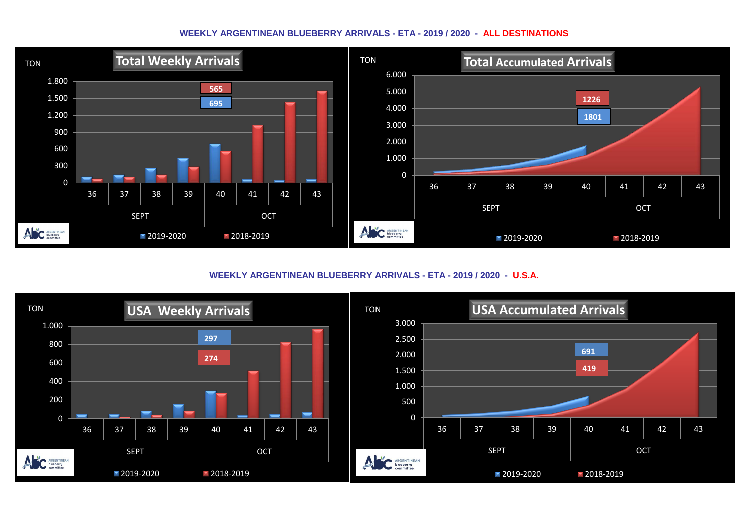## **WEEKLY ARGENTINEAN BLUEBERRY ARRIVALS - ETA - 2019 / 2020 - ALL DESTINATIONS**



**WEEKLY ARGENTINEAN BLUEBERRY ARRIVALS - ETA - 2019 / 2020 - U.S.A.**

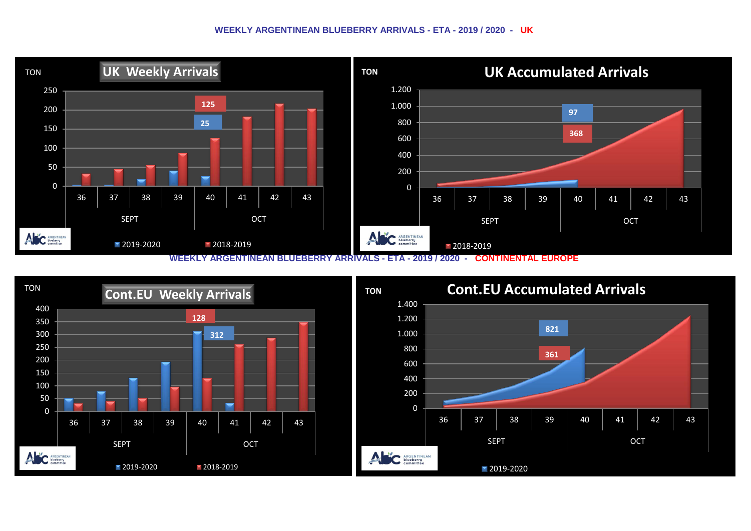## **WEEKLY ARGENTINEAN BLUEBERRY ARRIVALS - ETA - 2019 / 2020 - UK**